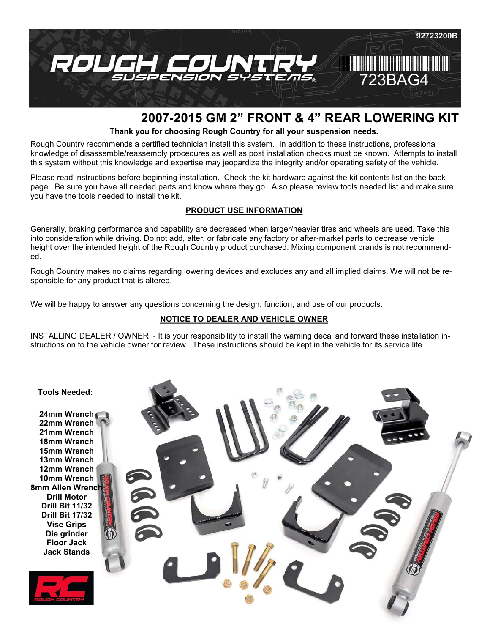

# **2007-2015 GM 2" FRONT & 4" REAR LOWERING KIT**

**Thank you for choosing Rough Country for all your suspension needs.**

Rough Country recommends a certified technician install this system. In addition to these instructions, professional knowledge of disassemble/reassembly procedures as well as post installation checks must be known. Attempts to install this system without this knowledge and expertise may jeopardize the integrity and/or operating safety of the vehicle.

Please read instructions before beginning installation. Check the kit hardware against the kit contents list on the back page. Be sure you have all needed parts and know where they go. Also please review tools needed list and make sure you have the tools needed to install the kit.

#### **PRODUCT USE INFORMATION**

Generally, braking performance and capability are decreased when larger/heavier tires and wheels are used. Take this into consideration while driving. Do not add, alter, or fabricate any factory or after-market parts to decrease vehicle height over the intended height of the Rough Country product purchased. Mixing component brands is not recommended.

Rough Country makes no claims regarding lowering devices and excludes any and all implied claims. We will not be responsible for any product that is altered.

We will be happy to answer any questions concerning the design, function, and use of our products.

# **NOTICE TO DEALER AND VEHICLE OWNER**

INSTALLING DEALER / OWNER - It is your responsibility to install the warning decal and forward these installation instructions on to the vehicle owner for review. These instructions should be kept in the vehicle for its service life.

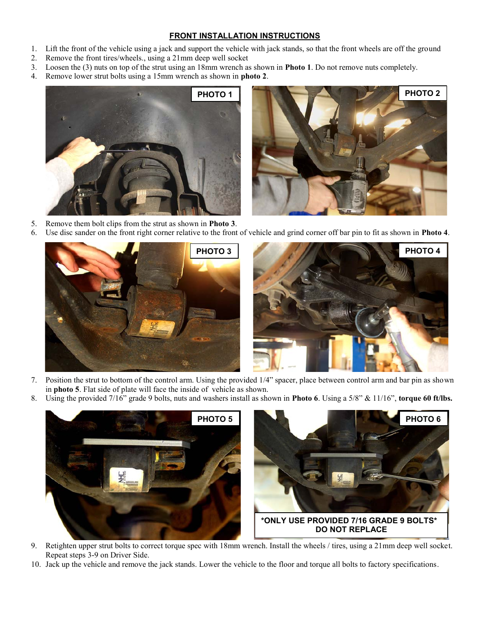#### **FRONT INSTALLATION INSTRUCTIONS**

- 1. Lift the front of the vehicle using a jack and support the vehicle with jack stands, so that the front wheels are off the ground
- 2. Remove the front tires/wheels., using a 21mm deep well socket
- 3. Loosen the (3) nuts on top of the strut using an 18mm wrench as shown in **Photo 1**. Do not remove nuts completely.
- 4. Remove lower strut bolts using a 15mm wrench as shown in **photo 2**.



- 5. Remove them bolt clips from the strut as shown in **Photo 3**.
- 6. Use disc sander on the front right corner relative to the front of vehicle and grind corner off bar pin to fit as shown in **Photo 4**.





- 7. Position the strut to bottom of the control arm. Using the provided 1/4" spacer, place between control arm and bar pin as shown in **photo 5**. Flat side of plate will face the inside of vehicle as shown.
- 8. Using the provided 7/16" grade 9 bolts, nuts and washers install as shown in **Photo 6**. Using a 5/8" & 11/16", **torque 60 ft/lbs.**



- 9. Retighten upper strut bolts to correct torque spec with 18mm wrench. Install the wheels / tires, using a 21mm deep well socket. Repeat steps 3-9 on Driver Side.
- 10. Jack up the vehicle and remove the jack stands. Lower the vehicle to the floor and torque all bolts to factory specifications.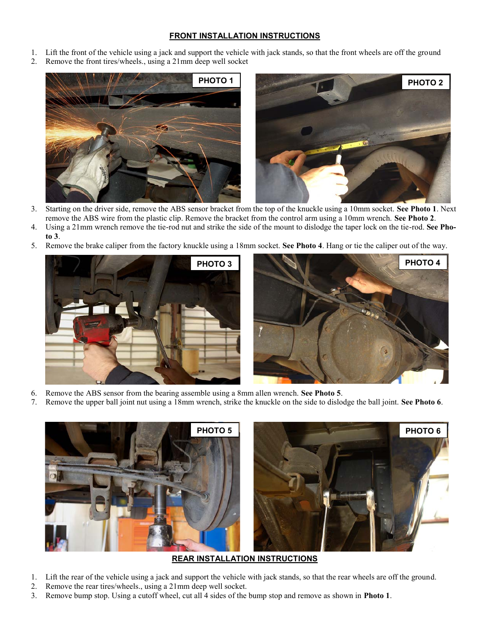#### **FRONT INSTALLATION INSTRUCTIONS**

- 1. Lift the front of the vehicle using a jack and support the vehicle with jack stands, so that the front wheels are off the ground
- 2. Remove the front tires/wheels., using a 21mm deep well socket



- 3. Starting on the driver side, remove the ABS sensor bracket from the top of the knuckle using a 10mm socket. **See Photo 1**. Next remove the ABS wire from the plastic clip. Remove the bracket from the control arm using a 10mm wrench. **See Photo 2**.
- 4. Using a 21mm wrench remove the tie-rod nut and strike the side of the mount to dislodge the taper lock on the tie-rod. **See Pho-**
- **to 3**. 5. Remove the brake caliper from the factory knuckle using a 18mm socket. **See Photo 4**. Hang or tie the caliper out of the way.





- 6. Remove the ABS sensor from the bearing assemble using a 8mm allen wrench. **See Photo 5**.
- 7. Remove the upper ball joint nut using a 18mm wrench, strike the knuckle on the side to dislodge the ball joint. **See Photo 6**.



## **REAR INSTALLATION INSTRUCTIONS**

- 1. Lift the rear of the vehicle using a jack and support the vehicle with jack stands, so that the rear wheels are off the ground.
- 2. Remove the rear tires/wheels., using a 21mm deep well socket.
- 3. Remove bump stop. Using a cutoff wheel, cut all 4 sides of the bump stop and remove as shown in **Photo 1**.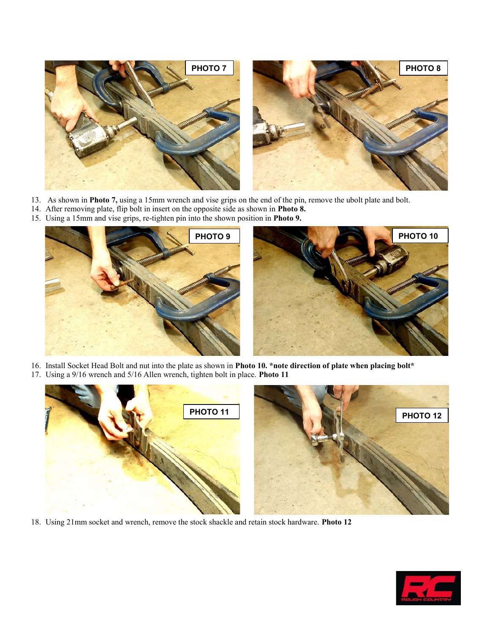

- 13. As shown in **Photo 7,** using a 15mm wrench and vise grips on the end of the pin, remove the ubolt plate and bolt.
- 14. After removing plate, flip bolt in insert on the opposite side as shown in **Photo 8.**
- 15. Using a 15mm and vise grips, re-tighten pin into the shown position in **Photo 9.**



- 16. Install Socket Head Bolt and nut into the plate as shown in **Photo 10. \*note direction of plate when placing bolt\***
- 17. Using a 9/16 wrench and 5/16 Allen wrench, tighten bolt in place. **Photo 11**



18. Using 21mm socket and wrench, remove the stock shackle and retain stock hardware. **Photo 12**

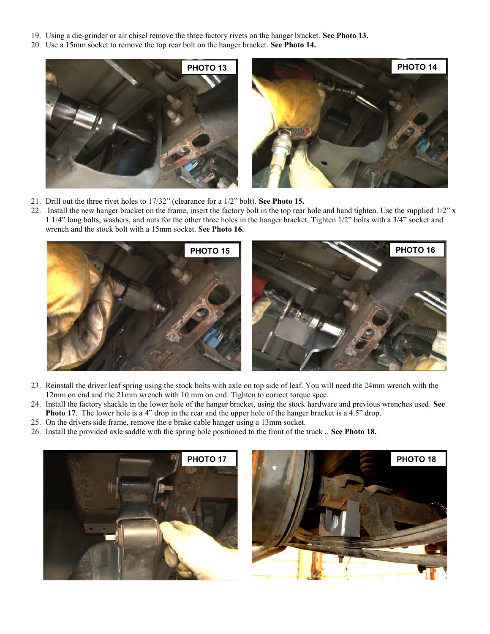- 19. Using a die-grinder or air chisel remove the three factory rivets on the hanger bracket. **See Photo 13.**
- 20. Use a 15mm socket to remove the top rear bolt on the hanger bracket. **See Photo 14.**



- 21. Drill out the three rivet holes to 17/32" (clearance for a 1/2" bolt). **See Photo 15.**
- 22. Install the new hanger bracket on the frame, insert the factory bolt in the top rear hole and hand tighten. Use the supplied  $1/2$ " x 1 1/4" long bolts, washers, and nuts for the other three holes in the hanger bracket. Tighten 1/2" bolts with a 3/4" socket and wrench and the stock bolt with a 15mm socket. **See Photo 16.**



- 23. Reinstall the driver leaf spring using the stock bolts with axle on top side of leaf. You will need the 24mm wrench with the 12mm on end and the 21mm wrench with 10 mm on end. Tighten to correct torque spec.
- 24. Install the factory shackle in the lower hole of the hanger bracket, using the stock hardware and previous wrenches used. **See Photo 17**. The lower hole is a 4" drop in the rear and the upper hole of the hanger bracket is a 4.5" drop.
- 25. On the drivers side frame, remove the e brake cable hanger using a 13mm socket.
- 26. Install the provided axle saddle with the spring hole positioned to the front of the truck .. **See Photo 18.**



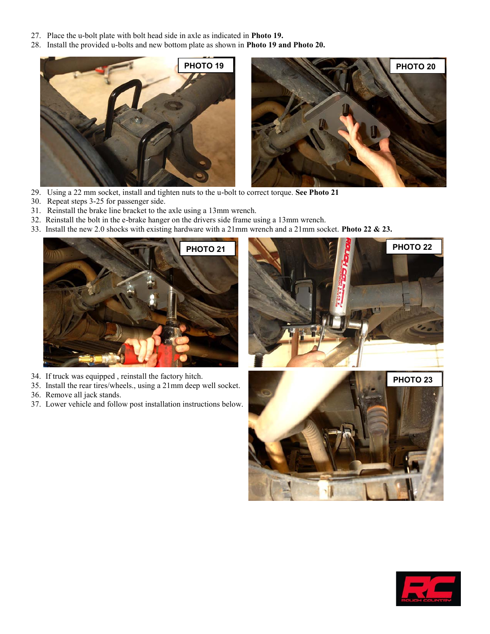- 27. Place the u-bolt plate with bolt head side in axle as indicated in **Photo 19.**
- 28. Install the provided u-bolts and new bottom plate as shown in **Photo 19 and Photo 20.**



- 29. Using a 22 mm socket, install and tighten nuts to the u-bolt to correct torque. **See Photo 21**
- 30. Repeat steps 3-25 for passenger side.
- 31. Reinstall the brake line bracket to the axle using a 13mm wrench.
- 32. Reinstall the bolt in the e-brake hanger on the drivers side frame using a 13mm wrench.
- 33. Install the new 2.0 shocks with existing hardware with a 21mm wrench and a 21mm socket. **Photo 22 & 23.**



- 34. If truck was equipped , reinstall the factory hitch.
- 35. Install the rear tires/wheels., using a 21mm deep well socket.
- 36. Remove all jack stands.
- 37. Lower vehicle and follow post installation instructions below.